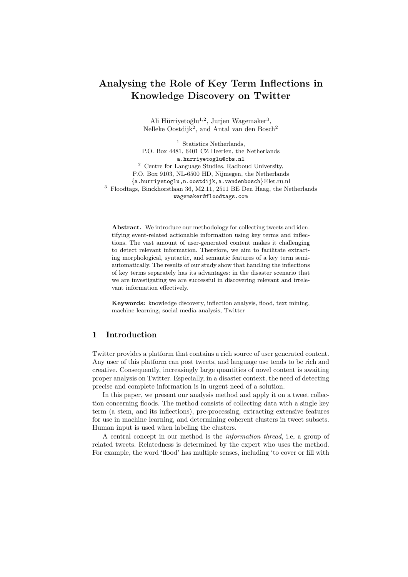# Analysing the Role of Key Term Inflections in Knowledge Discovery on Twitter

Ali Hürriyetoğlu<sup>1,2</sup>, Jurjen Wagemaker<sup>3</sup>, Nelleke Oostdijk<sup>2</sup>, and Antal van den Bosch<sup>2</sup>

<sup>1</sup> Statistics Netherlands, P.O. Box 4481, 6401 CZ Heerlen, the Netherlands a.hurriyetoglu@cbs.nl <sup>2</sup> Centre for Language Studies, Radboud University, P.O. Box 9103, NL-6500 HD, Nijmegen, the Netherlands {a.hurriyetoglu,n.oostdijk,a.vandenbosch}@let.ru.nl <sup>3</sup> Floodtags, Binckhorstlaan 36, M2.11, 2511 BE Den Haag, the Netherlands wagemaker@floodtags.com

Abstract. We introduce our methodology for collecting tweets and identifying event-related actionable information using key terms and inflections. The vast amount of user-generated content makes it challenging to detect relevant information. Therefore, we aim to facilitate extracting morphological, syntactic, and semantic features of a key term semiautomatically. The results of our study show that handling the inflections of key terms separately has its advantages: in the disaster scenario that we are investigating we are successful in discovering relevant and irrelevant information effectively.

Keywords: knowledge discovery, inflection analysis, flood, text mining, machine learning, social media analysis, Twitter

## 1 Introduction

Twitter provides a platform that contains a rich source of user generated content. Any user of this platform can post tweets, and language use tends to be rich and creative. Consequently, increasingly large quantities of novel content is awaiting proper analysis on Twitter. Especially, in a disaster context, the need of detecting precise and complete information is in urgent need of a solution.

In this paper, we present our analysis method and apply it on a tweet collection concerning floods. The method consists of collecting data with a single key term (a stem, and its inflections), pre-processing, extracting extensive features for use in machine learning, and determining coherent clusters in tweet subsets. Human input is used when labeling the clusters.

A central concept in our method is the information thread, i.e, a group of related tweets. Relatedness is determined by the expert who uses the method. For example, the word 'flood' has multiple senses, including 'to cover or fill with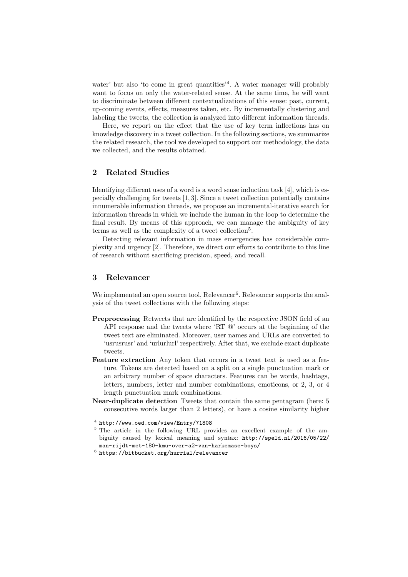water' but also 'to come in great quantities'<sup>4</sup>. A water manager will probably want to focus on only the water-related sense. At the same time, he will want to discriminate between different contextualizations of this sense: past, current, up-coming events, effects, measures taken, etc. By incrementally clustering and labeling the tweets, the collection is analyzed into different information threads.

Here, we report on the effect that the use of key term inflections has on knowledge discovery in a tweet collection. In the following sections, we summarize the related research, the tool we developed to support our methodology, the data we collected, and the results obtained.

## 2 Related Studies

Identifying different uses of a word is a word sense induction task [4], which is especially challenging for tweets [1, 3]. Since a tweet collection potentially contains innumerable information threads, we propose an incremental-iterative search for information threads in which we include the human in the loop to determine the final result. By means of this approach, we can manage the ambiguity of key terms as well as the complexity of a tweet collection<sup>5</sup>.

Detecting relevant information in mass emergencies has considerable complexity and urgency [2]. Therefore, we direct our efforts to contribute to this line of research without sacrificing precision, speed, and recall.

### 3 Relevancer

We implemented an open source tool, Relevancer<sup>6</sup>. Relevancer supports the analysis of the tweet collections with the following steps:

- Preprocessing Retweets that are identified by the respective JSON field of an API response and the tweets where 'RT  $\mathbb{Q}$ ' occurs at the beginning of the tweet text are eliminated. Moreover, user names and URLs are converted to 'usrusrusr' and 'urlurlurl' respectively. After that, we exclude exact duplicate tweets.
- Feature extraction Any token that occurs in a tweet text is used as a feature. Tokens are detected based on a split on a single punctuation mark or an arbitrary number of space characters. Features can be words, hashtags, letters, numbers, letter and number combinations, emoticons, or 2, 3, or 4 length punctuation mark combinations.
- Near-duplicate detection Tweets that contain the same pentagram (here: 5 consecutive words larger than 2 letters), or have a cosine similarity higher

 $^4$  http://www.oed.com/view/Entry/71808

<sup>5</sup> The article in the following URL provides an excellent example of the ambiguity caused by lexical meaning and syntax: http://speld.nl/2016/05/22/ man-rijdt-met-180-kmu-over-a2-van-harkemase-boys/

 $^6$  https://bitbucket.org/hurrial/relevancer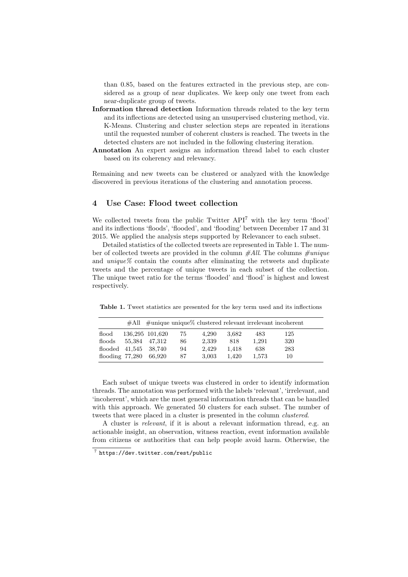than 0.85, based on the features extracted in the previous step, are considered as a group of near duplicates. We keep only one tweet from each near-duplicate group of tweets.

- Information thread detection Information threads related to the key term and its inflections are detected using an unsupervised clustering method, viz. K-Means. Clustering and cluster selection steps are repeated in iterations until the requested number of coherent clusters is reached. The tweets in the detected clusters are not included in the following clustering iteration.
- Annotation An expert assigns an information thread label to each cluster based on its coherency and relevancy.

Remaining and new tweets can be clustered or analyzed with the knowledge discovered in previous iterations of the clustering and annotation process.

#### 4 Use Case: Flood tweet collection

We collected tweets from the public Twitter API<sup>7</sup> with the key term 'flood' and its inflections 'floods', 'flooded', and 'flooding' between December 17 and 31 2015. We applied the analysis steps supported by Relevancer to each subset.

Detailed statistics of the collected tweets are represented in Table 1. The number of collected tweets are provided in the column  $\#All$ . The columns  $\#unique$ and  $unique\%$  contain the counts after eliminating the retweets and duplicate tweets and the percentage of unique tweets in each subset of the collection. The unique tweet ratio for the terms 'flooded' and 'flood' is highest and lowest respectively.

Table 1. Tweet statistics are presented for the key term used and its inflections

|                        |                 |    |       |       |       | $#All$ $#unique$ unique $%$ clustered relevant irrelevant incoherent |
|------------------------|-----------------|----|-------|-------|-------|----------------------------------------------------------------------|
| flood                  | 136,295 101,620 | 75 | 4.290 | 3.682 | 483   | 125                                                                  |
| floods                 | 55.384 47.312   | 86 | 2.339 | 818   | 1.291 | 320                                                                  |
| flooded 41,545 38,740  |                 | 94 | 2.429 | 1.418 | 638   | 283                                                                  |
| flooding 77,280 66,920 |                 | 87 | 3.003 | 1.420 | 1.573 | 10                                                                   |

Each subset of unique tweets was clustered in order to identify information threads. The annotation was performed with the labels 'relevant', 'irrelevant, and 'incoherent', which are the most general information threads that can be handled with this approach. We generated 50 clusters for each subset. The number of tweets that were placed in a cluster is presented in the column clustered.

A cluster is relevant, if it is about a relevant information thread, e.g. an actionable insight, an observation, witness reaction, event information available from citizens or authorities that can help people avoid harm. Otherwise, the

<sup>7</sup> https://dev.twitter.com/rest/public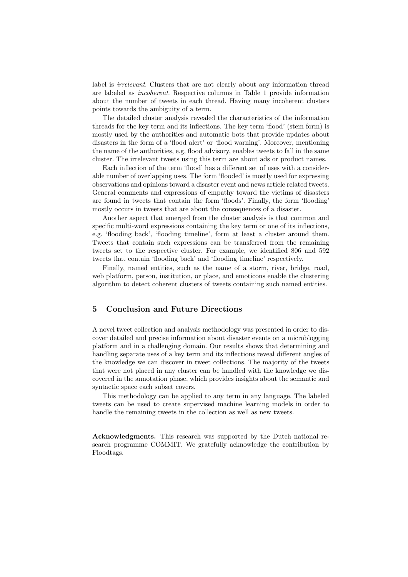label is *irrelevant*. Clusters that are not clearly about any information thread are labeled as incoherent. Respective columns in Table 1 provide information about the number of tweets in each thread. Having many incoherent clusters points towards the ambiguity of a term.

The detailed cluster analysis revealed the characteristics of the information threads for the key term and its inflections. The key term 'flood' (stem form) is mostly used by the authorities and automatic bots that provide updates about disasters in the form of a 'flood alert' or 'flood warning'. Moreover, mentioning the name of the authorities, e.g, flood advisory, enables tweets to fall in the same cluster. The irrelevant tweets using this term are about ads or product names.

Each inflection of the term 'flood' has a different set of uses with a considerable number of overlapping uses. The form 'flooded' is mostly used for expressing observations and opinions toward a disaster event and news article related tweets. General comments and expressions of empathy toward the victims of disasters are found in tweets that contain the form 'floods'. Finally, the form 'flooding' mostly occurs in tweets that are about the consequences of a disaster.

Another aspect that emerged from the cluster analysis is that common and specific multi-word expressions containing the key term or one of its inflections, e.g. 'flooding back', 'flooding timeline', form at least a cluster around them. Tweets that contain such expressions can be transferred from the remaining tweets set to the respective cluster. For example, we identified 806 and 592 tweets that contain 'flooding back' and 'flooding timeline' respectively.

Finally, named entities, such as the name of a storm, river, bridge, road, web platform, person, institution, or place, and emoticons enable the clustering algorithm to detect coherent clusters of tweets containing such named entities.

#### 5 Conclusion and Future Directions

A novel tweet collection and analysis methodology was presented in order to discover detailed and precise information about disaster events on a microblogging platform and in a challenging domain. Our results shows that determining and handling separate uses of a key term and its inflections reveal different angles of the knowledge we can discover in tweet collections. The majority of the tweets that were not placed in any cluster can be handled with the knowledge we discovered in the annotation phase, which provides insights about the semantic and syntactic space each subset covers.

This methodology can be applied to any term in any language. The labeled tweets can be used to create supervised machine learning models in order to handle the remaining tweets in the collection as well as new tweets.

Acknowledgments. This research was supported by the Dutch national research programme COMMIT. We gratefully acknowledge the contribution by Floodtags.